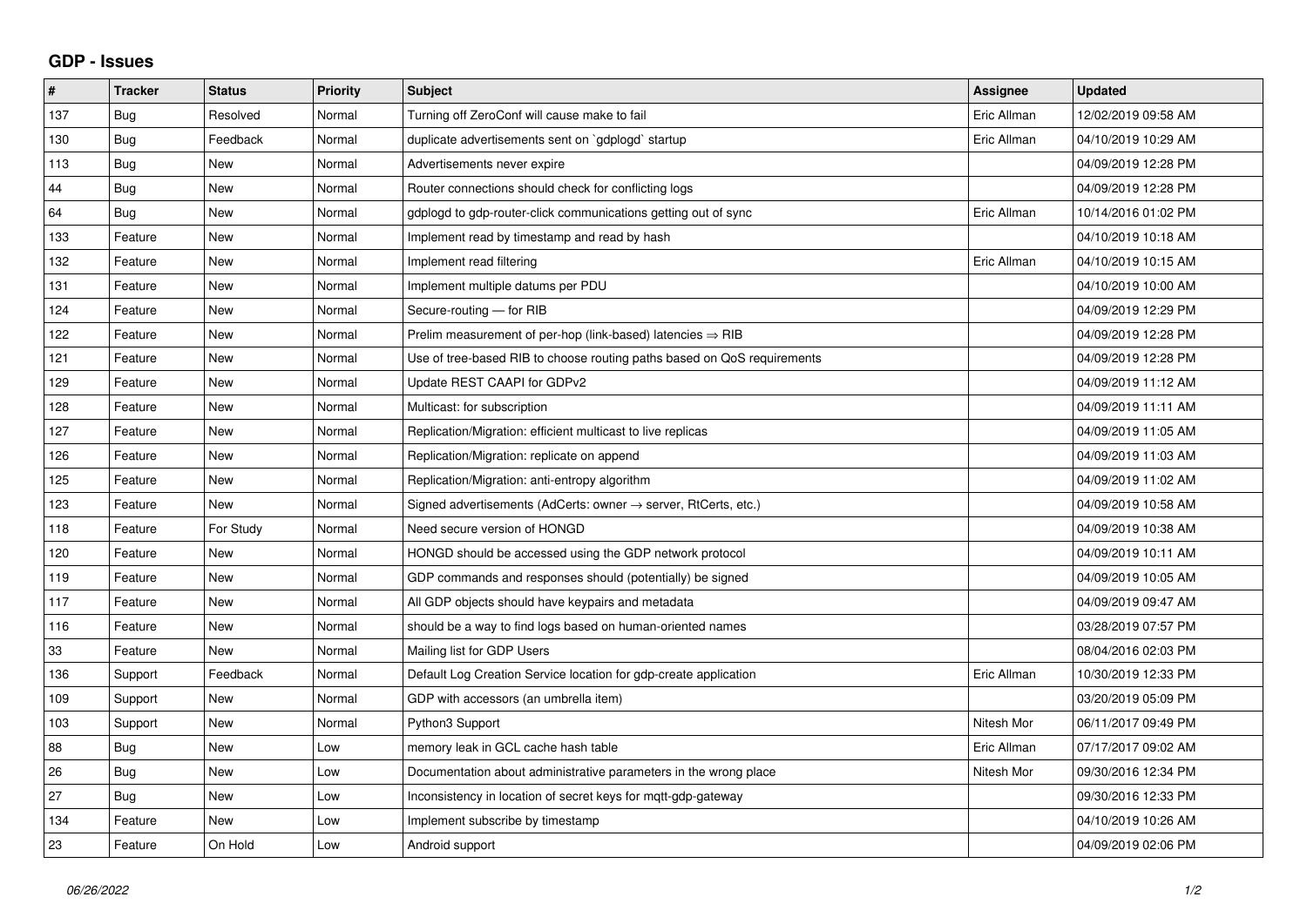## **GDP - Issues**

| $\sharp$ | <b>Tracker</b> | <b>Status</b> | <b>Priority</b> | <b>Subject</b>                                                          | Assignee    | <b>Updated</b>      |
|----------|----------------|---------------|-----------------|-------------------------------------------------------------------------|-------------|---------------------|
| 137      | Bug            | Resolved      | Normal          | Turning off ZeroConf will cause make to fail                            | Eric Allman | 12/02/2019 09:58 AM |
| 130      | Bug            | Feedback      | Normal          | duplicate advertisements sent on `gdplogd` startup                      | Eric Allman | 04/10/2019 10:29 AM |
| 113      | Bug            | New           | Normal          | Advertisements never expire                                             |             | 04/09/2019 12:28 PM |
| 44       | <b>Bug</b>     | <b>New</b>    | Normal          | Router connections should check for conflicting logs                    |             | 04/09/2019 12:28 PM |
| 64       | Bug            | <b>New</b>    | Normal          | gdplogd to gdp-router-click communications getting out of sync          | Eric Allman | 10/14/2016 01:02 PM |
| 133      | Feature        | <b>New</b>    | Normal          | Implement read by timestamp and read by hash                            |             | 04/10/2019 10:18 AM |
| 132      | Feature        | New           | Normal          | Implement read filtering                                                | Eric Allman | 04/10/2019 10:15 AM |
| 131      | Feature        | <b>New</b>    | Normal          | Implement multiple datums per PDU                                       |             | 04/10/2019 10:00 AM |
| 124      | Feature        | <b>New</b>    | Normal          | Secure-routing - for RIB                                                |             | 04/09/2019 12:29 PM |
| 122      | Feature        | <b>New</b>    | Normal          | Prelim measurement of per-hop (link-based) latencies $\Rightarrow$ RIB  |             | 04/09/2019 12:28 PM |
| 121      | Feature        | <b>New</b>    | Normal          | Use of tree-based RIB to choose routing paths based on QoS requirements |             | 04/09/2019 12:28 PM |
| 129      | Feature        | New           | Normal          | Update REST CAAPI for GDPv2                                             |             | 04/09/2019 11:12 AM |
| 128      | Feature        | <b>New</b>    | Normal          | Multicast: for subscription                                             |             | 04/09/2019 11:11 AM |
| 127      | Feature        | <b>New</b>    | Normal          | Replication/Migration: efficient multicast to live replicas             |             | 04/09/2019 11:05 AM |
| 126      | Feature        | <b>New</b>    | Normal          | Replication/Migration: replicate on append                              |             | 04/09/2019 11:03 AM |
| 125      | Feature        | <b>New</b>    | Normal          | Replication/Migration: anti-entropy algorithm                           |             | 04/09/2019 11:02 AM |
| 123      | Feature        | <b>New</b>    | Normal          | Signed advertisements (AdCerts: owner → server, RtCerts, etc.)          |             | 04/09/2019 10:58 AM |
| 118      | Feature        | For Study     | Normal          | Need secure version of HONGD                                            |             | 04/09/2019 10:38 AM |
| 120      | Feature        | <b>New</b>    | Normal          | HONGD should be accessed using the GDP network protocol                 |             | 04/09/2019 10:11 AM |
| 119      | Feature        | <b>New</b>    | Normal          | GDP commands and responses should (potentially) be signed               |             | 04/09/2019 10:05 AM |
| 117      | Feature        | <b>New</b>    | Normal          | All GDP objects should have keypairs and metadata                       |             | 04/09/2019 09:47 AM |
| 116      | Feature        | <b>New</b>    | Normal          | should be a way to find logs based on human-oriented names              |             | 03/28/2019 07:57 PM |
| 33       | Feature        | New           | Normal          | Mailing list for GDP Users                                              |             | 08/04/2016 02:03 PM |
| 136      | Support        | Feedback      | Normal          | Default Log Creation Service location for gdp-create application        | Eric Allman | 10/30/2019 12:33 PM |
| 109      | Support        | <b>New</b>    | Normal          | GDP with accessors (an umbrella item)                                   |             | 03/20/2019 05:09 PM |
| 103      | Support        | <b>New</b>    | Normal          | Python3 Support                                                         | Nitesh Mor  | 06/11/2017 09:49 PM |
| 88       | <b>Bug</b>     | <b>New</b>    | Low             | memory leak in GCL cache hash table                                     | Eric Allman | 07/17/2017 09:02 AM |
| 26       | Bug            | <b>New</b>    | Low             | Documentation about administrative parameters in the wrong place        | Nitesh Mor  | 09/30/2016 12:34 PM |
| 27       | <b>Bug</b>     | <b>New</b>    | Low             | Inconsistency in location of secret keys for mgtt-gdp-gateway           |             | 09/30/2016 12:33 PM |
| 134      | Feature        | <b>New</b>    | Low             | Implement subscribe by timestamp                                        |             | 04/10/2019 10:26 AM |
| 23       | Feature        | On Hold       | Low             | Android support                                                         |             | 04/09/2019 02:06 PM |